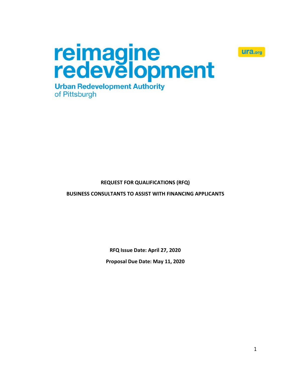

reimagine<br>redevelopment **Urban Redevelopment Authority** of Pittsburgh

# **REQUEST FOR QUALIFICATIONS (RFQ)**

**BUSINESS CONSULTANTS TO ASSIST WITH FINANCING APPLICANTS**

**RFQ Issue Date: April 27, 2020**

**Proposal Due Date: May 11, 2020**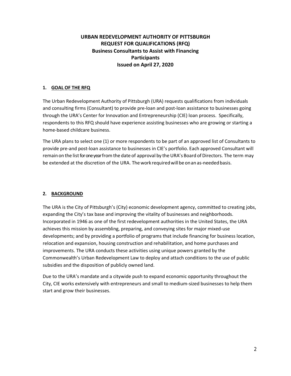# **URBAN REDEVELOPMENT AUTHORITY OF PITTSBURGH REQUEST FOR QUALIFICATIONS (RFQ) Business Consultants to Assist with Financing Participants Issued on April 27, 2020**

### **1. GOAL OF THE RFQ**

The Urban Redevelopment Authority of Pittsburgh (URA) requests qualifications from individuals and consulting firms (Consultant) to provide pre-loan and post-loan assistance to businesses going through the URA's Center for Innovation and Entrepreneurship (CIE) loan process. Specifically, respondents to this RFQ should have experience assisting businesses who are growing or starting a home-based childcare business.

The URA plans to select one (1) or more respondents to be part of an approved list of Consultants to provide pre-and post-loan assistance to businesses in CIE's portfolio. Each approved Consultant will remain on the list for one year from the date of approval by the URA's Board of Directors. The term may be extended at the discretion of the URA. The work required will be on an as-needed basis.

### **2. BACKGROUND**

The URA is the City of Pittsburgh's (City) economic development agency, committed to creating jobs, expanding the City's tax base and improving the vitality of businesses and neighborhoods. Incorporated in 1946 as one of the first redevelopment authorities in the United States, the URA achieves this mission by assembling, preparing, and conveying sites for major mixed‐use developments; and by providing a portfolio of programs that include financing for business location, relocation and expansion, housing construction and rehabilitation, and home purchases and improvements. The URA conducts these activities using unique powers granted by the Commonwealth's Urban Redevelopment Law to deploy and attach conditions to the use of public subsidies and the disposition of publicly owned land.

Due to the URA's mandate and a citywide push to expand economic opportunity throughout the City, CIE works extensively with entrepreneurs and small to medium‐sized businesses to help them start and grow their businesses.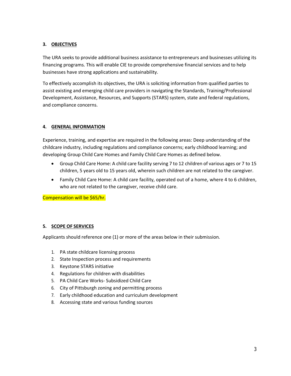## **3. OBJECTIVES**

The URA seeks to provide additional business assistance to entrepreneurs and businesses utilizing its financing programs. This will enable CIE to provide comprehensive financial services and to help businesses have strong applications and sustainability.

To effectively accomplish its objectives, the URA is soliciting information from qualified parties to assist existing and emerging child care providers in navigating the Standards, Training/Professional Development, Assistance, Resources, and Supports (STARS) system, state and federal regulations, and compliance concerns.

### **4. GENERAL INFORMATION**

Experience, training, and expertise are required in the following areas: Deep understanding of the childcare industry, including regulations and compliance concerns; early childhood learning; and developing Group Child Care Homes and Family Child Care Homes as defined below.

- Group Child Care Home: A child care facility serving 7 to 12 children of various ages or 7 to 15 children, 5 years old to 15 years old, wherein such children are not related to the caregiver.
- Family Child Care Home: A child care facility, operated out of a home, where 4 to 6 children, who are not related to the caregiver, receive child care.

Compensation will be \$65/hr.

# **5. SCOPE OF SERVICES**

Applicants should reference one (1) or more of the areas below in their submission.

- 1. PA state childcare licensing process
- 2. State Inspection process and requirements
- 3. Keystone STARS initiative
- 4. Regulations for children with disabilities
- 5. PA Child Care Works- Subsidized Child Care
- 6. City of Pittsburgh zoning and permitting process
- 7. Early childhood education and curriculum development
- 8. Accessing state and various funding sources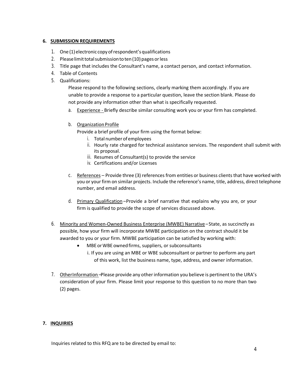### **6. SUBMISSION REQUIREMENTS**

- 1. One (1)electronic copy ofrespondent'squalifications
- 2. Please limit total submission to ten (10) pages or less
- 3. Title page that includes the Consultant's name, a contact person, and contact information.
- 4. Table of Contents
- 5. Qualifications:

Please respond to the following sections, clearly marking them accordingly. If you are unable to provide a response to a particular question, leave the section blank. Please do not provide any information other than what is specifically requested.

- a. Experience Briefly describe similar consulting work you or your firm has completed.
- b. Organization Profile
	- Provide a brief profile of your firm using the format below:
		- i. Total number of employees
		- ii. Hourly rate charged for technical assistance services. The respondent shall submit with its proposal.
		- iii. Resumes of Consultant(s) to provide the service
		- iv. Certifications and/or Licenses
- c. References Provide three (3) references from entities or business clients that have worked with you or your firm on similar projects. Include the reference's name, title, address, direct telephone number, and email address.
- d. Primary Qualification Provide a brief narrative that explains why you are, or your firm is qualified to provide the scope of services discussed above.
- 6. Minority and Women-Owned Business Enterprise (MWBE) Narrative State, as succinctly as possible, how your firm will incorporate MWBE participation on the contract should it be awarded to you or your firm. MWBE participation can be satisfied by working with:
	- MBE or WBE owned firms, suppliers, or subconsultants
		- i. If you are using an MBE or WBE subconsultant or partner to perform any part of this work, list the business name, type, address, and owner information.
- 7. OtherInformation –Please provide any other information you believe is pertinent to the URA's consideration of your firm. Please limit your response to this question to no more than two (2) pages.

### **7. INQUIRIES**

Inquiries related to this RFQ are to be directed by email to: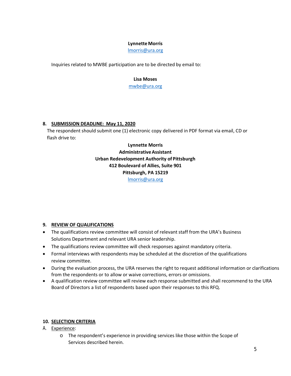#### **Lynnette Morris**

[lmorris@ura.org](mailto:lmorris@ura.org)

Inquiries related to MWBE participation are to be directed by email to:

#### **Lisa Moses**

[mwbe@ura.org](mailto:mwbe@ura.org)

### **8. SUBMISSION DEADLINE: May 11, 2020**

The respondent should submit one (1) electronic copy delivered in PDF format via email, CD or flash drive to:

> **Lynnette Morris AdministrativeAssistant Urban Redevelopment Authority of Pittsburgh 412 Boulevard of Allies, Suite 901 Pittsburgh, PA 15219** [lmorris@ura.org](mailto:lmorris@ura.org)

### **9. REVIEW OF QUALIFICATIONS**

- The qualifications review committee will consist of relevant staff from the URA's Business Solutions Department and relevant URA senior leadership.
- The qualifications review committee will check responses against mandatory criteria.
- Formal interviews with respondents may be scheduled at the discretion of the qualifications review committee.
- During the evaluation process, the URA reserves the right to request additional information or clarifications from the respondents or to allow or waive corrections, errors or omissions.
- A qualification review committee will review each response submitted and shall recommend to the URA Board of Directors a list of respondents based upon their responses to this RFQ.

### **10. SELECTION CRITERIA**

- A. Experience:
	- o The respondent's experience in providing services like those within the Scope of Services described herein.